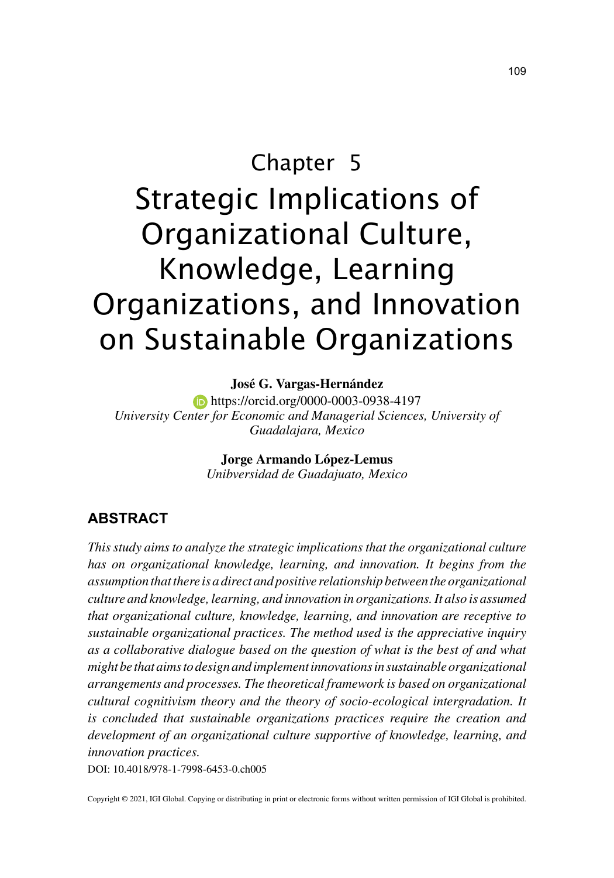# Chapter 5 Strategic Implications of Organizational Culture, Knowledge, Learning Organizations, and Innovation on Sustainable Organizations

#### **José G. Vargas-Hernández**

**https://orcid.org/0000-0003-0938-4197** *University Center for Economic and Managerial Sciences, University of Guadalajara, Mexico*

> **Jorge Armando López-Lemus** *Unibversidad de Guadajuato, Mexico*

#### **ABSTRACT**

*This study aims to analyze the strategic implications that the organizational culture has on organizational knowledge, learning, and innovation. It begins from the assumption that there is a direct and positive relationship between the organizational culture and knowledge, learning, and innovation in organizations. It also is assumed that organizational culture, knowledge, learning, and innovation are receptive to sustainable organizational practices. The method used is the appreciative inquiry as a collaborative dialogue based on the question of what is the best of and what might be that aims to design and implement innovations in sustainable organizational arrangements and processes. The theoretical framework is based on organizational cultural cognitivism theory and the theory of socio-ecological intergradation. It is concluded that sustainable organizations practices require the creation and development of an organizational culture supportive of knowledge, learning, and innovation practices.*

DOI: 10.4018/978-1-7998-6453-0.ch005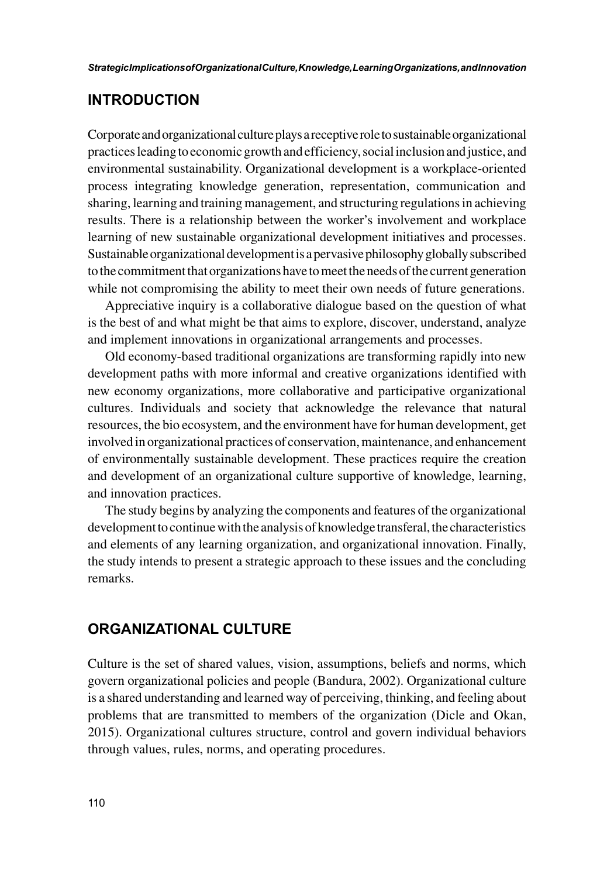#### **INTRODUCTION**

Corporate and organizational culture plays a receptive role to sustainable organizational practices leading to economic growth and efficiency, social inclusion and justice, and environmental sustainability. Organizational development is a workplace-oriented process integrating knowledge generation, representation, communication and sharing, learning and training management, and structuring regulations in achieving results. There is a relationship between the worker's involvement and workplace learning of new sustainable organizational development initiatives and processes. Sustainable organizational development is a pervasive philosophy globally subscribed to the commitment that organizations have to meet the needs of the current generation while not compromising the ability to meet their own needs of future generations.

Appreciative inquiry is a collaborative dialogue based on the question of what is the best of and what might be that aims to explore, discover, understand, analyze and implement innovations in organizational arrangements and processes.

Old economy-based traditional organizations are transforming rapidly into new development paths with more informal and creative organizations identified with new economy organizations, more collaborative and participative organizational cultures. Individuals and society that acknowledge the relevance that natural resources, the bio ecosystem, and the environment have for human development, get involved in organizational practices of conservation, maintenance, and enhancement of environmentally sustainable development. These practices require the creation and development of an organizational culture supportive of knowledge, learning, and innovation practices.

The study begins by analyzing the components and features of the organizational development to continue with the analysis of knowledge transferal, the characteristics and elements of any learning organization, and organizational innovation. Finally, the study intends to present a strategic approach to these issues and the concluding remarks.

#### **ORGANIZATIONAL CULTURE**

Culture is the set of shared values, vision, assumptions, beliefs and norms, which govern organizational policies and people (Bandura, 2002). Organizational culture is a shared understanding and learned way of perceiving, thinking, and feeling about problems that are transmitted to members of the organization (Dicle and Okan, 2015). Organizational cultures structure, control and govern individual behaviors through values, rules, norms, and operating procedures.